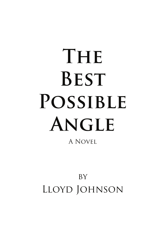# **The Best Possible Angle** A Novel

## **BY** Lloyd Johnson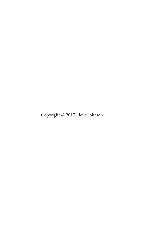Copyright © 2017 Lloyd Johnson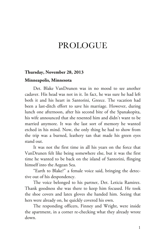### PROLOGUE

#### **Thursday, November 28, 2013**

#### **Minneapolis, Minnesota**

Det. Blake VanDrunen was in no mood to see another cadaver. His head was not in it. In fact, he was sure he had left both it and his heart in Santorini, Greece. The vacation had been a last-ditch effort to save his marriage. However, during lunch one afternoon, after his second bite of the Spanakopita, his wife announced that she resented him and didn't want to be married anymore. It was the last sort of memory he wanted etched in his mind. Now, the only thing he had to show from the trip was a burned, leathery tan that made his green eyes stand out.

It was not the first time in all his years on the force that VanDrunen felt like being somewhere else, but it was the first time he wanted to be back on the island of Santorini, flinging himself into the Aegean Sea.

"Earth to Blake?" a female voice said, bringing the detective out of his despondency.

The voice belonged to his partner, Det. Leticia Ramirez. Thank goodness she was there to keep him focused. He took the shoe covers and latex gloves she handed him. Seeing that hers were already on, he quickly covered his own.

The responding officers, Finney and Wright, were inside the apartment, in a corner re-checking what they already wrote down.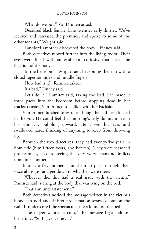"What do we got?" VanDrunen asked.

"Deceased black female. Late twenties-early thirties. We've secured and canvased the premises, and spoke to some of the other tenants," Wright said.

"Landlord's mother discovered the body," Finney said.

Both detectives moved further into the living room. Their eyes were filled with an exuberant curiosity that asked the location of the body.

"In the bedroom," Wright said, beckoning them in with a closed together index and middle fingers.

"How bad is it?" Ramirez asked.

"It's bad," Finney said.

"Let's do it," Ramirez said, taking the lead. She made it three paces into the bedroom before stopping dead in her tracks, causing VanDrunen to collide with her backside.

VanDrunen lurched forward as though he had been kicked in the gut. He could feel that morning's jelly donuts move in his stomach, bubbling upward. He closed his eyes and swallowed hard, thinking of anything to keep from throwing up.

Between the two detectives, they had twenty-five years in homicide (him fifteen years, and her ten). They were seasoned professionals, used to seeing the very worst mankind inflicts upon one another.

It took a few moments for them to push through their visceral disgust and get down to why they were there.

"Whoever did this had a real issue with the victim," Ramirez said, staring at the body that was lying on the bed.

"That's an understatement."

Both detectives noticed the message written in the victim's blood, an odd and sinister proclamation scrawled out on the wall. It underscored the spectacular mess found on the bed.

"The nigger wanted a cunt," the message began almost boastfully, "So I gave it one . . ."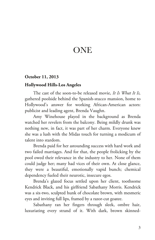## **ONE**

#### **October 11, 2013**

#### **Hollywood Hills-Los Angeles**

The cast of the soon-to-be released movie, *It Is What It Is,*  gathered poolside behind the Spanish-stucco mansion, home to Hollywood's answer for working African-American actors: publicist and leading agent, Brenda Vaughn.

Amy Winehouse played in the background as Brenda watched her revelers from the balcony. Being mildly drunk was nothing new, in fact, it was part of her charm. Everyone knew she was a lush with the Midas touch for turning a modicum of talent into stardom.

Brenda paid for her astounding success with hard work and two failed marriages. And for that, the people frolicking by the pool owed their relevance in the industry to her. None of them could judge her; many had vices of their own. At close glance, they were a beautiful, emotionally vapid bunch; chemical dependency fueled their neurotic, insecure egos.

Brenda's glazed focus settled upon her client, toothsome Kendrick Black, and his girlfriend Sabathany Morris. Kendrick was a six-two, sculpted hunk of chocolate brown, with mesmeric eyes and inviting full lips, framed by a razor-cut goatee.

Sabathany ran her fingers through sleek, ombre hair, luxuriating every strand of it. With dark, brown skinned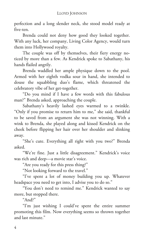perfection and a long slender neck, she stood model ready at five-ten.

Brenda could not deny how good they looked together. With any luck, her company, Living Color Agency, would turn them into Hollywood royalty.

The couple was off by themselves, their fiery energy noticed by more than a few. As Kendrick spoke to Sabathany, his hands flailed angrily.

Brenda waddled her ample physique down to the pool. Armed with her eighth vodka sour in hand, she intended to douse the squabbling duo's flame, which threatened the celebratory vibe of her get-together.

"Do you mind if I have a few words with this fabulous man?" Brenda asked, approaching the couple.

Sabathany's heavily lashed eyes warmed to a twinkle. "Only if you promise to return him to me," she said, thankful to be saved from an argument she was not winning. With a wink to Brenda, she played along and kissed Kendrick on the cheek before flipping her hair over her shoulder and slinking away.

"She's cute. Everything all right with you two?" Brenda asked.

"We're fine. Just a little disagreement." Kendrick's voice was rich and deep—a movie star's voice.

"Are you ready for this press thing?"

"Not looking forward to the travel."

"I've spent a lot of money building you up. Whatever headspace you need to get into, I advise you to do so."

"You don't need to remind me." Kendrick wanted to say more, but stopped there.

"And?"

"I'm just wishing I could've spent the entire summer promoting this film. Now everything seems so thrown together and last minute."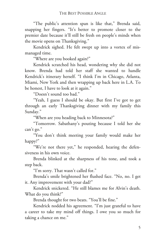"The public's attention span is like that," Brenda said, snapping her fingers. "It's better to promote closer to the premier date because it'll still be fresh on people's minds when the movie opens on Thanksgiving."

Kendrick sighed. He felt swept up into a vortex of mismanaged time.

"Where are you booked again?"

Kendrick scratched his head, wondering why she did not know. Brenda had told her staff she wanted to handle Kendrick's itinerary herself. "I think I'm in Chicago, Atlanta, Miami, New York and then wrapping up back here in L.A. To be honest, I have to look at it again."

"Doesn't sound too bad."

"Yeah, I guess I should be okay. But first I've got to get through an early Thanksgiving dinner with my family this Sunday."

"When are you heading back to Minnesota?"

"Tomorrow. Sabathany's pouting because I told her she can't go."

"You don't think meeting your family would make her happy?"

"We're not there yet," he responded, hearing the defensiveness in his own voice.

Brenda blinked at the sharpness of his tone, and took a step back.

"I'm sorry. That wasn't called for."

Brenda's smile brightened her flushed face. "No, no. I get it. Any improvement with your dad?"

Kendrick snickered. "He still blames me for Alvin's death. What do you think?"

Brenda thought for two beats. "You'll be fine."

Kendrick nodded his agreement. "I'm just grateful to have a career to take my mind off things. I owe you so much for taking a chance on me."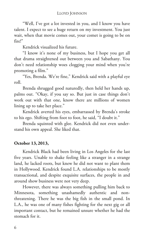"Well, I've got a lot invested in you, and I know you have talent. I expect to see a huge return on my investment. You just wait, when that movie comes out, your comet is going to be on fire!"

Kendrick visualized his future.

"I know it's none of my business, but I hope you get all that drama straightened out between you and Sabathany. You don't need relationship woes clogging your mind when you're promoting a film."

"Yes, Brenda. We're fine," Kendrick said with a playful eye roll.

Brenda shrugged good naturedly, then held her hands up, palms out. "Okay, if you say so. But just in case things don't work out with that one, know there are millions of women lining up to take her place."

Kendrick averted his eyes, embarrassed by Brenda's stroke to his ego. Shifting from foot to foot, he said, "I doubt it."

Brenda squinted with glee. Kendrick did not even understand his own appeal. She liked that.

#### **October 13, 2013,**

Kendrick Black had been living in Los Angeles for the last five years. Unable to shake feeling like a stranger in a strange land, he lacked roots, but knew he did not want to plant them in Hollywood. Kendrick found L.A. relationships to be mostly transactional, and despite exquisite surfaces, the people in and around show business were not very deep.

However, there was always something pulling him back to Minnesota, something unashamedly authentic and nonthreatening. There he was the big fish in the small pond. In L.A., he was one of many fishes fighting for the next gig or all important contact, but he remained unsure whether he had the stomach for it.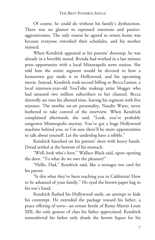Of course, he could do without his family's dysfunction. There was no glamor in repressed emotions and passiveaggressiveness. The only reason he agreed to return home was because everyone reworked their schedules, and his mother insisted.

When Kendrick appeared at his parents' doorstep, he was already in a horrible mood. Brenda had worked in a last minute press opportunity with a local Minneapolis news station. She told him the entire segment would be devoted to how a hometown guy made it to Hollywood, and his upcoming movie. Instead, Kendrick took second billing to Becca Larson, a local nineteen-year-old YouTube makeup artist blogger who had amassed two million subscribers to her channel. Becca shrewdly ate into his allotted time, leaving his segment with five minutes. The newbie on-air personality, Natalie Watts, never bothered to take control of the interview. When Kendrick complained afterwards, she said, "Look, you've probably outgrown Minneapolis anyway. You've got a huge Hollywood machine behind you, so I'm sure there'll be more opportunities to talk about yourself. Let the underdog have a nibble."

Kendrick knocked on his parents' door with heavy hands. Dread settled at the bottom of his stomach.

"Well, look who's here," Wallace Black said, upon opening the door. "To what do we owe the pleasure?"

"Hello, Dad," Kendrick said, like a teenager too cool for his parent.

"Is this what they've been teaching you in California? How to be ashamed of your family." He eyed the brown paper bag in his son's hand.

Kendrick flashed his Hollywood smile, an attempt to hide his contempt. He extended the package toward his father, a peace offering of sorts—an ornate bottle of Remy Martin Louis XIII, the only gesture of class his father appreciated. Kendrick remembered his father only drank the brown liquor for his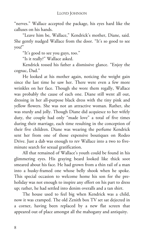"nerves." Wallace accepted the package, his eyes hard like the calluses on his hands.

"Leave him be, Wallace," Kendrick's mother, Diane, said. She gently nudged Wallace from the door. "It's so good to see you!"

"It's good to see you guys, too."

"Is it really?" Wallace asked.

Kendrick tossed his father a dismissive glance. "Enjoy the cognac, Dad."

He looked at his mother again, noticing the weight gain since the last time he saw her. There were even a few more wrinkles on her face. Though she wore them regally, Wallace was probably the cause of each one. Diane still went all out, dressing in her all-purpose black dress with the tiny pink and yellow flowers. She was not an attractive woman. Rather, she was sturdy and jolly. Though Diane did acquiesce to her wifely duty, the couple had only "made love" a total of five times during their marriage, each time resulting in the conception of their five children. Diane was wearing the perfume Kendrick sent her from one of those expensive boutiques on Rodeo Drive. Just a dab was enough to rev Wallace into a two to fiveminute search for sexual gratification.

All that remained of Wallace's youth could be found in his glimmering eyes. His graying beard looked like thick soot smeared about his face. He had grown from a thin rail of a man into a husky-framed one whose belly shook when he spoke. This special occasion to welcome home his son for the preholiday was not enough to inspire any effort on his part to dress up; rather, he had settled into denim overalls and a tan shirt.

The house used to feel big when Kendrick was a child, now it was cramped. The old Zenith box TV set sat dejected in a corner, having been replaced by a new flat screen that appeared out of place amongst all the mahogany and antiquity.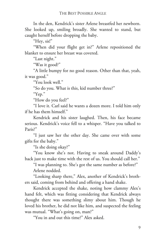In the den, Kendrick's sister Arlene breastfed her newborn. She looked up, smiling broadly. She wanted to stand, but caught herself before dropping the baby.

"Hey, sis!"

"When did your flight get in?" Arlene repositioned the blanket to ensure her breast was covered.

"Last night."

"Was it good?"

"A little bumpy for no good reason. Other than that, yeah, it was good."

"You look well."

"So do you. What is this, kid number three?"

"Yep."

"How do you feel?"

"I love it. Carl said he wants a dozen more. I told him only if he has them himself."

Kendrick and his sister laughed. Then, his face became serious. Kendrick's voice fell to a whisper. "Have you talked to Paris?"

"I just saw her the other day. She came over with some gifts for the baby."

"Is she doing okay?"

"You know she's not. Having to sneak around Daddy's back just to make time with the rest of us. You should call her."

"I was planning to. She's got the same number as before?" Arlene nodded.

"Looking sharp there," Alex, another of Kendrick's brothers said, coming from behind and offering a hand shake.

Kendrick accepted the shake, noting how clammy Alex's hand felt, which was fitting considering that Kendrick always thought there was something slimy about him. Though he loved his brother, he did not like him, and suspected the feeling was mutual. "What's going on, man?"

"You in and out this time?" Alex asked.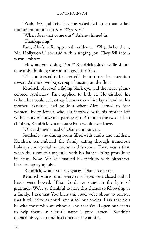"Yeah. My publicist has me scheduled to do some last minute promotion for *It Is What It Is.*"

"When does that come out?" Arlene chimed in.

"Thanksgiving."

Pam, Alex's wife, appeared suddenly. "Why, hello there, Mr. Hollywood," she said with a singing joy. They fell into a warm embrace.

"How are you doing, Pam?" Kendrick asked, while simultaneously thinking she was too good for Alex.

"I'm too blessed to be stressed." Pam turned her attention toward Arlene's two boys, rough-housing on the floor.

Kendrick observed a fading black eye, and the heavy plumcolored eyeshadow Pam applied to hide it. He disliked his father, but could at least say he never saw him lay a hand on his mother. Kendrick had no idea where Alex learned to beat women. Every female who got involved with his brother left with a story of abuse as a parting gift. Although the two had no children, Kendrick was not sure Pam would ever leave.

"Okay, dinner's ready," Diane announced.

Suddenly, the dining room filled with adults and children. Kendrick remembered the family eating through numerous holidays and special occasions in this room. There was a time when the room felt majestic, with his father sitting proudly at its helm. Now, Wallace marked his territory with bitterness, like a cat spraying piss.

"Kendrick, would you say grace?" Diane requested.

Kendrick waited until every set of eyes were closed and all heads were bowed. "Dear Lord, we stand in the light of gratitude. We're so thankful to have this chance to fellowship as a family. I ask that You bless this food we're about to receive, that it will serve as nourishment for our bodies. I ask that You be with those who are without, and that You'll open our hearts to help them. In Christ's name I pray. Amen." Kendrick opened his eyes to find his father staring at him.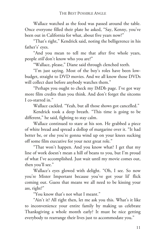Wallace watched as the food was passed around the table. Once everyone filled their plate he asked, "Say, Kenny, you've been out in California for what, about five years now?"

"That's right," Kendrick said, noting the belligerence in his father's' eyes.

"And you mean to tell me that after five whole years, people *still* don't know who you are?"

"Wallace, please," Diane said through clenched teeth.

"I'm just saying. Most of the boy's roles have been lowbudget, straight to DVD movies. And we all know those DVDs will collect dust before anybody watches them."

"Perhaps you ought to check my IMDb page. I've got way more film credits than you think. And don't forget the sitcoms I co-starred in."

Wallace cackled. "Yeah, but all those shows got cancelled."

Kendrick took a deep breath. "This time is going to be different," he said, fighting to stay calm.

Wallace continued to stare at his son. He grabbed a piece of white bread and spread a dollop of margarine over it. "It had better be, or else you're gonna wind up on your knees sucking off some film executive for your next great role."

"That won't happen. And you know what? I get that my line of work doesn't mean a hill of beans to you, but I'm proud of what I've accomplished. Just wait until my movie comes out, then you'll see."

Wallace's eyes glowed with delight. "Oh, I see. So now you're Mister Important because you've got your lil' flick coming out. Guess that means we all need to be kissing your ass, right?"

"You know that's not what I meant."

"Ain't it? All right then, let me ask you this. What's it like to inconvenience your entire family by making us celebrate Thanksgiving a whole month early? It must be nice getting everybody to rearrange their lives just to accommodate you."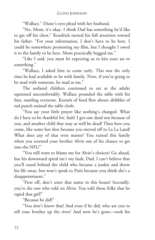"Wallace." Diane's eyes plead with her husband.

"No, Mom, it's okay. I think Dad has something he'd like to get off his chest." Kendrick turned his full attention toward his father. "For your information, I don't have to be here. I could be somewhere promoting my film, but I thought I owed it to the family to be here. Mom practically begged me."

"Like I said, you must be expecting us to kiss your ass or something."

"Wallace, I asked him to come early. This was the only time he had available to be with family. Now, if you're going to be mad with someone, be mad at me."

The unfazed children continued to eat as the adults squirmed uncomfortably. Wallace pounded the table with his fists, startling everyone. Kernels of food flew about; dribbles of red punch stained the table cloth.

"You say your little prayer like nothing's changed. What do I have to be thankful for, huh? I got one dead son because of you, and another child that may as well be dead! Then here you come, like some hot shot because you moved off to La La Land! What does any of that even matter? You ruined this family when you screwed your brother Alvin out of his chance to get into the NFL!"

"You still want to blame me for Alvin's choices? Go ahead, but his downward spiral isn't my fault, Dad. I can't believe that you'll stand behind the child who became a junkie and threw his life away, but won't speak to Paris because you think she's a disappointment."

"First off, don't utter that name in this house! Secondly, you're the one who told on Alvin. You told those folks that he raped that girl!"

"Because he did!"

"You don't know that! And even if he did, who are you to sell your brother up the river? And now he's gone—took his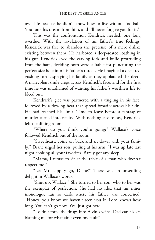own life because he didn't know how to live without football. You took his dream from him, and I'll never forgive you for it."

This was the confrontation Kendrick needed, one long overdue. With the revelation of his father's true feelings, Kendrick was free to abandon the pretense of a mere dislike existing between them. He harbored a deep-seated loathing in his gut. Kendrick eyed the carving fork and knife protruding from the ham, deciding both were suitable for puncturing the perfect size hole into his father's throat. He imagined a deep red gushing forth, spraying his family as they applauded the deed. A malevolent smile crept across Kendrick's face, and for the first time he was unashamed of wanting his father's worthless life to bleed out.

Kendrick's glee was partnered with a tingling in his face, followed by a flowing heat that spread broadly across his skin. He had reached his limit. Time to leave before a fantasy of murder turned into reality. With nothing else to say, Kendrick left the dining room.

"Where do you think you're going?" Wallace's voice followed Kendrick out of the room.

"Sweetheart, come on back and sit down with your family," Diane urged her son, pulling at his arm. "I was up late last night cooking all your favorites. Barely got any sleep."

"Mama, I refuse to sit at the table of a man who doesn't respect me."

"Let Mr. Uppity go, Diane!" There was an unsettling delight in Wallace's words.

"Shut up, Wallace!" She turned to her son, who to her was the exemplar of perfection. She had no idea that his inner monologue ran so dark where his father was concerned. "Honey, you know we haven't seen you in Lord knows how long. You can't go now. You just got here."

"I didn't force the drugs into Alvin's veins. Dad can't keep blaming me for what ain't even my fault!"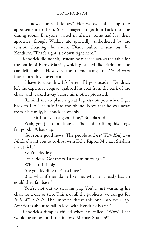"I know, honey. I know." Her words had a sing-song appeasement to them. She managed to get him back into the dining room. Everyone waited in silence; some had lost their appetites, though Wallace ate spiritedly, unbothered by the tension clouding the room. Diane pulled a seat out for Kendrick. "That's right, sit down right here."

Kendrick did not sit, instead he reached across the table for the bottle of Remy Martin, which glistened like citrine on the candlelit table. However, the theme song to *The A-team* interrupted his movement.

"I have to take this. It's better if I go outside." Kendrick left the expensive cognac, grabbed his coat from the back of the chair, and walked away before his mother protested.

"Remind me to plant a great big kiss on you when I get back to L.A," he said into the phone. Now that he was away from his family, he chuckled openly.

"I take it I called at a good time," Brenda said.

"Yeah, you just don't know." The cold air filling his lungs felt good. "What's up?"

"Got some good news. The people at *Live! With Kelly and Michael* want you to co-host with Kelly Rippa. Michael Strahan is out sick."

"You're kidding!"

"I'm serious. Got the call a few minutes ago."

"Whoa, this is big."

"Are you kidding me? It's huge!"

"But, what if they don't like me? Michael already has an established fan base."

"You're not out to steal his gig. You're just warming his chair for a day or two. Think of all the publicity we can get for *It Is What It Is*. The universe threw this one into your lap. America is about to fall in love with Kendrick Black."

Kendrick's dimples chilled when he smiled. "Wow! That would be an honor. I frickin' love Michael Strahan!"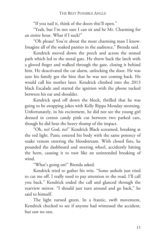"If you nail it, think of the doors this'll open."

"Yeah, but I'm not sure I can sit and be Mr. Charming for an entire hour. What if I suck?"

"Oh please! You're about the most charming man I know. Imagine all of the soaked panties in the audience," Brenda said.

Kendrick moved down the porch and across the stoned path which led to the metal gate. He threw back the latch with a gloved finger and walked through the gate, closing it behind him. He deactivated the car alarm, unlocking the door. He was sure his family got the hint that he was not coming back. He would call his mother later. Kendrick climbed into the 2013 black Escalade and started the ignition with the phone tucked between his ear and shoulder.

Kendrick sped off down the block, thrilled that he was going to be swapping jokes with Kelly Rippa Monday morning. Unfortunately, in his excitement, he did not see the young girl dressed in cotton candy pink cut between two parked cars, though he did hear the heavy thump of the impact.

"Oh, no! God, no!" Kendrick Black screamed, breaking at the red light. Panic entered his body with the same potency of snake venom entering the bloodstream. With closed fists, he pounded the dashboard and steering wheel, accidently hitting the horn, causing it to toot like an unintended breaking of wind.

"What's going on?" Brenda asked.

Kendrick tried to gather his wits. "Some asshole just tried to cut me off. I really need to pay attention to the road. I'll call you back." Kendrick ended the call and glanced through the rearview mirror. "I should just turn around and go back," he said to himself.

The light turned green. In a frantic, swift movement, Kendrick checked to see if anyone had witnessed the accident, but saw no one.